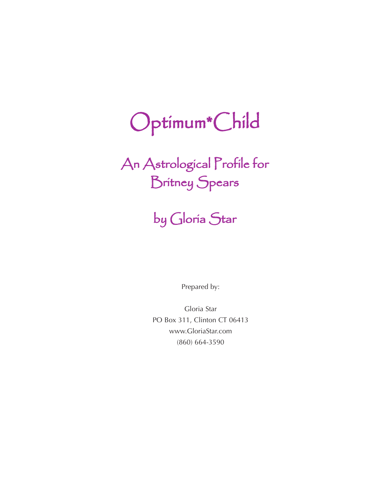# Optimum\*Child

An Astrological Profile for Britney Spears

## by Gloria Star

Prepared by:

Gloria Star PO Box 311, Clinton CT 06413 www.GloriaStar.com (860) 664-3590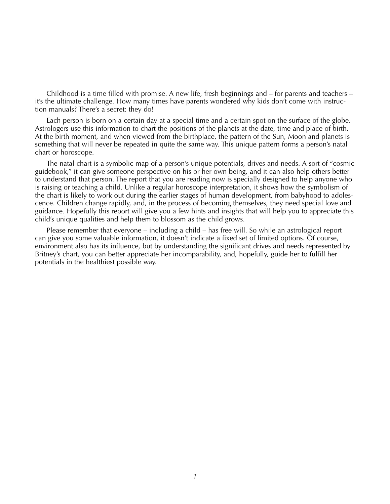Childhood is a time filled with promise. A new life, fresh beginnings and – for parents and teachers – it's the ultimate challenge. How many times have parents wondered why kids don't come with instruction manuals? There's a secret: they do!

Each person is born on a certain day at a special time and a certain spot on the surface of the globe. Astrologers use this information to chart the positions of the planets at the date, time and place of birth. At the birth moment, and when viewed from the birthplace, the pattern of the Sun, Moon and planets is something that will never be repeated in quite the same way. This unique pattern forms a person's natal chart or horoscope.

The natal chart is a symbolic map of a person's unique potentials, drives and needs. A sort of "cosmic guidebook," it can give someone perspective on his or her own being, and it can also help others better to understand that person. The report that you are reading now is specially designed to help anyone who is raising or teaching a child. Unlike a regular horoscope interpretation, it shows how the symbolism of the chart is likely to work out during the earlier stages of human development, from babyhood to adolescence. Children change rapidly, and, in the process of becoming themselves, they need special love and guidance. Hopefully this report will give you a few hints and insights that will help you to appreciate this child's unique qualities and help them to blossom as the child grows.

Please remember that everyone – including a child – has free will. So while an astrological report can give you some valuable information, it doesn't indicate a fixed set of limited options. Of course, environment also has its influence, but by understanding the significant drives and needs represented by Britney's chart, you can better appreciate her incomparability, and, hopefully, guide her to fulfill her potentials in the healthiest possible way.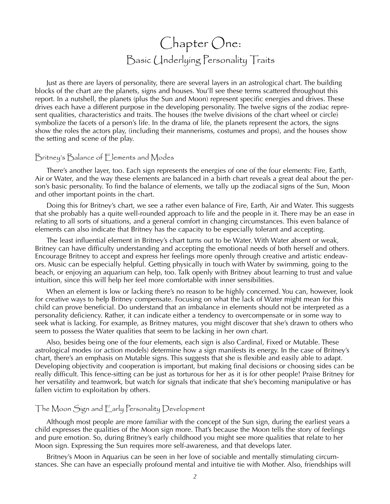### Chapter One: Basic Underlying Personality Traits

Just as there are layers of personality, there are several layers in an astrological chart. The building blocks of the chart are the planets, signs and houses. You'll see these terms scattered throughout this report. In a nutshell, the planets (plus the Sun and Moon) represent specific energies and drives. These drives each have a different purpose in the developing personality. The twelve signs of the zodiac represent qualities, characteristics and traits. The houses (the twelve divisions of the chart wheel or circle) symbolize the facets of a person's life. In the drama of life, the planets represent the actors, the signs show the roles the actors play, (including their mannerisms, costumes and props), and the houses show the setting and scene of the play.

#### Britney's Balance of Elements and Modes

There's another layer, too. Each sign represents the energies of one of the four elements: Fire, Earth, Air or Water, and the way these elements are balanced in a birth chart reveals a great deal about the person's basic personality. To find the balance of elements, we tally up the zodiacal signs of the Sun, Moon and other important points in the chart.

Doing this for Britney's chart, we see a rather even balance of Fire, Earth, Air and Water. This suggests that she probably has a quite well-rounded approach to life and the people in it. There may be an ease in relating to all sorts of situations, and a general comfort in changing circumstances. This even balance of elements can also indicate that Britney has the capacity to be especially tolerant and accepting.

The least influential element in Britney's chart turns out to be Water. With Water absent or weak, Britney can have difficulty understanding and accepting the emotional needs of both herself and others. Encourage Britney to accept and express her feelings more openly through creative and artistic endeavors. Music can be especially helpful. Getting physically in touch with Water by swimming, going to the beach, or enjoying an aquarium can help, too. Talk openly with Britney about learning to trust and value intuition, since this will help her feel more comfortable with inner sensibilities.

When an element is low or lacking there's no reason to be highly concerned. You can, however, look for creative ways to help Britney compensate. Focusing on what the lack of Water might mean for this child can prove beneficial. Do understand that an imbalance in elements should not be interpreted as a personality deficiency. Rather, it can indicate either a tendency to overcompensate or in some way to seek what is lacking. For example, as Britney matures, you might discover that she's drawn to others who seem to possess the Water qualities that seem to be lacking in her own chart.

Also, besides being one of the four elements, each sign is also Cardinal, Fixed or Mutable. These astrological modes (or action models) determine how a sign manifests its energy. In the case of Britney's chart, there's an emphasis on Mutable signs. This suggests that she is flexible and easily able to adapt. Developing objectivity and cooperation is important, but making final decisions or choosing sides can be really difficult. This fence-sitting can be just as torturous for her as it is for other people! Praise Britney for her versatility and teamwork, but watch for signals that indicate that she's becoming manipulative or has fallen victim to exploitation by others.

#### The Moon Sign and Early Personality Development

Although most people are more familiar with the concept of the Sun sign, during the earliest years a child expresses the qualities of the Moon sign more. That's because the Moon tells the story of feelings and pure emotion. So, during Britney's early childhood you might see more qualities that relate to her Moon sign. Expressing the Sun requires more self-awareness, and that develops later.

Britney's Moon in Aquarius can be seen in her love of sociable and mentally stimulating circumstances. She can have an especially profound mental and intuitive tie with Mother. Also, friendships will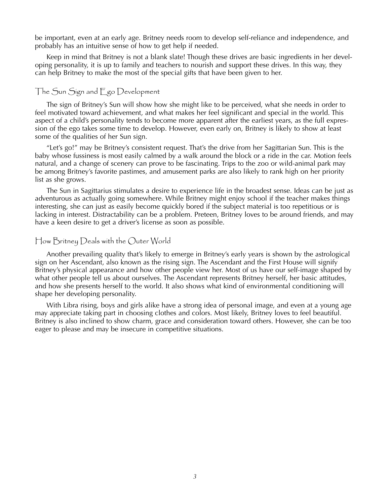be important, even at an early age. Britney needs room to develop self-reliance and independence, and probably has an intuitive sense of how to get help if needed.

Keep in mind that Britney is not a blank slate! Though these drives are basic ingredients in her developing personality, it is up to family and teachers to nourish and support these drives. In this way, they can help Britney to make the most of the special gifts that have been given to her.

#### The Sun Sign and Ego Development

The sign of Britney's Sun will show how she might like to be perceived, what she needs in order to feel motivated toward achievement, and what makes her feel significant and special in the world. This aspect of a child's personality tends to become more apparent after the earliest years, as the full expression of the ego takes some time to develop. However, even early on, Britney is likely to show at least some of the qualities of her Sun sign.

"Let's go!" may be Britney's consistent request. That's the drive from her Sagittarian Sun. This is the baby whose fussiness is most easily calmed by a walk around the block or a ride in the car. Motion feels natural, and a change of scenery can prove to be fascinating. Trips to the zoo or wild-animal park may be among Britney's favorite pastimes, and amusement parks are also likely to rank high on her priority list as she grows.

The Sun in Sagittarius stimulates a desire to experience life in the broadest sense. Ideas can be just as adventurous as actually going somewhere. While Britney might enjoy school if the teacher makes things interesting, she can just as easily become quickly bored if the subject material is too repetitious or is lacking in interest. Distractability can be a problem. Preteen, Britney loves to be around friends, and may have a keen desire to get a driver's license as soon as possible.

#### How Britney Deals with the Outer World

Another prevailing quality that's likely to emerge in Britney's early years is shown by the astrological sign on her Ascendant, also known as the rising sign. The Ascendant and the First House will signify Britney's physical appearance and how other people view her. Most of us have our self-image shaped by what other people tell us about ourselves. The Ascendant represents Britney herself, her basic attitudes, and how she presents herself to the world. It also shows what kind of environmental conditioning will shape her developing personality.

With Libra rising, boys and girls alike have a strong idea of personal image, and even at a young age may appreciate taking part in choosing clothes and colors. Most likely, Britney loves to feel beautiful. Britney is also inclined to show charm, grace and consideration toward others. However, she can be too eager to please and may be insecure in competitive situations.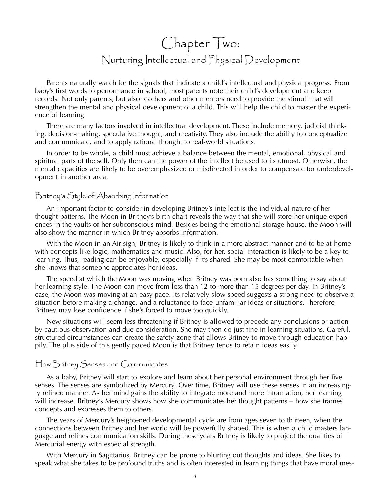### Chapter Two: Nurturing Intellectual and Physical Development

Parents naturally watch for the signals that indicate a child's intellectual and physical progress. From baby's first words to performance in school, most parents note their child's development and keep records. Not only parents, but also teachers and other mentors need to provide the stimuli that will strengthen the mental and physical development of a child. This will help the child to master the experience of learning.

There are many factors involved in intellectual development. These include memory, judicial thinking, decision-making, speculative thought, and creativity. They also include the ability to conceptualize and communicate, and to apply rational thought to real-world situations.

In order to be whole, a child must achieve a balance between the mental, emotional, physical and spiritual parts of the self. Only then can the power of the intellect be used to its utmost. Otherwise, the mental capacities are likely to be overemphasized or misdirected in order to compensate for underdevelopment in another area.

#### Britney's Style of Absorbing Information

An important factor to consider in developing Britney's intellect is the individual nature of her thought patterns. The Moon in Britney's birth chart reveals the way that she will store her unique experiences in the vaults of her subconscious mind. Besides being the emotional storage-house, the Moon will also show the manner in which Britney absorbs information.

With the Moon in an Air sign, Britney is likely to think in a more abstract manner and to be at home with concepts like logic, mathematics and music. Also, for her, social interaction is likely to be a key to learning. Thus, reading can be enjoyable, especially if it's shared. She may be most comfortable when she knows that someone appreciates her ideas.

The speed at which the Moon was moving when Britney was born also has something to say about her learning style. The Moon can move from less than 12 to more than 15 degrees per day. In Britney's case, the Moon was moving at an easy pace. Its relatively slow speed suggests a strong need to observe a situation before making a change, and a reluctance to face unfamiliar ideas or situations. Therefore Britney may lose confidence if she's forced to move too quickly.

New situations will seem less threatening if Britney is allowed to precede any conclusions or action by cautious observation and due consideration. She may then do just fine in learning situations. Careful, structured circumstances can create the safety zone that allows Britney to move through education happily. The plus side of this gently paced Moon is that Britney tends to retain ideas easily.

#### How Britney Senses and Communicates

As a baby, Britney will start to explore and learn about her personal environment through her five senses. The senses are symbolized by Mercury. Over time, Britney will use these senses in an increasingly refined manner. As her mind gains the ability to integrate more and more information, her learning will increase. Britney's Mercury shows how she communicates her thought patterns – how she frames concepts and expresses them to others.

The years of Mercury's heightened developmental cycle are from ages seven to thirteen, when the connections between Britney and her world will be powerfully shaped. This is when a child masters language and refines communication skills. During these years Britney is likely to project the qualities of Mercurial energy with especial strength.

With Mercury in Sagittarius, Britney can be prone to blurting out thoughts and ideas. She likes to speak what she takes to be profound truths and is often interested in learning things that have moral mes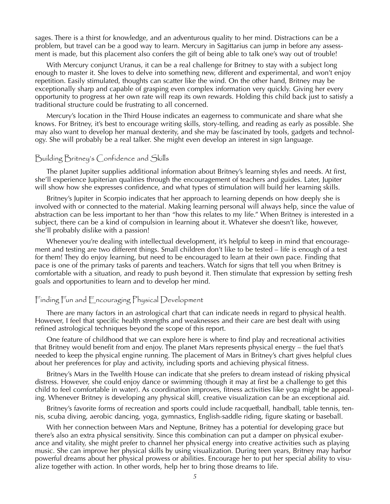sages. There is a thirst for knowledge, and an adventurous quality to her mind. Distractions can be a problem, but travel can be a good way to learn. Mercury in Sagittarius can jump in before any assessment is made, but this placement also confers the gift of being able to talk one's way out of trouble!

With Mercury conjunct Uranus, it can be a real challenge for Britney to stay with a subject long enough to master it. She loves to delve into something new, different and experimental, and won't enjoy repetition. Easily stimulated, thoughts can scatter like the wind. On the other hand, Britney may be exceptionally sharp and capable of grasping even complex information very quickly. Giving her every opportunity to progress at her own rate will reap its own rewards. Holding this child back just to satisfy a traditional structure could be frustrating to all concerned.

Mercury's location in the Third House indicates an eagerness to communicate and share what she knows. For Britney, it's best to encourage writing skills, story-telling, and reading as early as possible. She may also want to develop her manual dexterity, and she may be fascinated by tools, gadgets and technology. She will probably be a real talker. She might even develop an interest in sign language.

#### Building Britney's Confidence and Skills

The planet Jupiter supplies additional information about Britney's learning styles and needs. At first, she'll experience Jupiterian qualities through the encouragement of teachers and guides. Later, Jupiter will show how she expresses confidence, and what types of stimulation will build her learning skills.

Britney's Jupiter in Scorpio indicates that her approach to learning depends on how deeply she is involved with or connected to the material. Making learning personal will always help, since the value of abstraction can be less important to her than "how this relates to my life." When Britney is interested in a subject, there can be a kind of compulsion in learning about it. Whatever she doesn't like, however, she'll probably dislike with a passion!

Whenever you're dealing with intellectual development, it's helpful to keep in mind that encouragement and testing are two different things. Small children don't like to be tested – life is enough of a test for them! They do enjoy learning, but need to be encouraged to learn at their own pace. Finding that pace is one of the primary tasks of parents and teachers. Watch for signs that tell you when Britney is comfortable with a situation, and ready to push beyond it. Then stimulate that expression by setting fresh goals and opportunities to learn and to develop her mind.

#### Finding Fun and Encouraging Physical Development

There are many factors in an astrological chart that can indicate needs in regard to physical health. However, I feel that specific health strengths and weaknesses and their care are best dealt with using refined astrological techniques beyond the scope of this report.

One feature of childhood that we can explore here is where to find play and recreational activities that Britney would benefit from and enjoy. The planet Mars represents physical energy – the fuel that's needed to keep the physical engine running. The placement of Mars in Britney's chart gives helpful clues about her preferences for play and activity, including sports and achieving physical fitness.

Britney's Mars in the Twelfth House can indicate that she prefers to dream instead of risking physical distress. However, she could enjoy dance or swimming (though it may at first be a challenge to get this child to feel comfortable in water). As coordination improves, fitness activities like yoga might be appealing. Whenever Britney is developing any physical skill, creative visualization can be an exceptional aid.

Britney's favorite forms of recreation and sports could include racquetball, handball, table tennis, tennis, scuba diving, aerobic dancing, yoga, gymnastics, English-saddle riding, figure skating or baseball.

With her connection between Mars and Neptune, Britney has a potential for developing grace but there's also an extra physical sensitivity. Since this combination can put a damper on physical exuberance and vitality, she might prefer to channel her physical energy into creative activities such as playing music. She can improve her physical skills by using visualization. During teen years, Britney may harbor powerful dreams about her physical prowess or abilities. Encourage her to put her special ability to visualize together with action. In other words, help her to bring those dreams to life.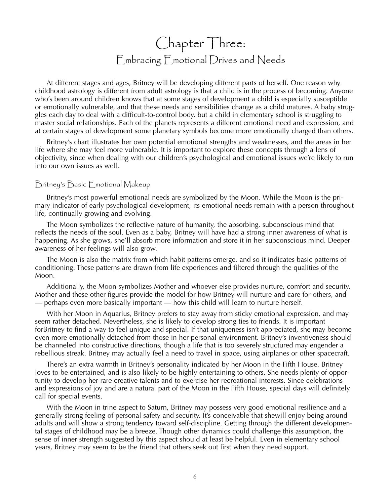### Chapter Three: Embracing Emotional Drives and Needs

At different stages and ages, Britney will be developing different parts of herself. One reason why childhood astrology is different from adult astrology is that a child is in the process of becoming. Anyone who's been around children knows that at some stages of development a child is especially susceptible or emotionally vulnerable, and that these needs and sensibilities change as a child matures. A baby struggles each day to deal with a difficult-to-control body, but a child in elementary school is struggling to master social relationships. Each of the planets represents a different emotional need and expression, and at certain stages of development some planetary symbols become more emotionally charged than others.

Britney's chart illustrates her own potential emotional strengths and weaknesses, and the areas in her life where she may feel more vulnerable. It is important to explore these concepts through a lens of objectivity, since when dealing with our children's psychological and emotional issues we're likely to run into our own issues as well.

#### Britney's Basic Emotional Makeup

Britney's most powerful emotional needs are symbolized by the Moon. While the Moon is the primary indicator of early psychological development, its emotional needs remain with a person throughout life, continually growing and evolving.

The Moon symbolizes the reflective nature of humanity, the absorbing, subconscious mind that reflects the needs of the soul. Even as a baby, Britney will have had a strong inner awareness of what is happening. As she grows, she'll absorb more information and store it in her subconscious mind. Deeper awareness of her feelings will also grow.

The Moon is also the matrix from which habit patterns emerge, and so it indicates basic patterns of conditioning. These patterns are drawn from life experiences and filtered through the qualities of the Moon.

Additionally, the Moon symbolizes Mother and whoever else provides nurture, comfort and security. Mother and these other figures provide the model for how Britney will nurture and care for others, and — perhaps even more basically important — how this child will learn to nurture herself.

With her Moon in Aquarius, Britney prefers to stay away from sticky emotional expression, and may seem rather detached. Nevertheless, she is likely to develop strong ties to friends. It is important forBritney to find a way to feel unique and special. If that uniqueness isn't appreciated, she may become even more emotionally detached from those in her personal environment. Britney's inventiveness should be channeled into constructive directions, though a life that is too severely structured may engender a rebellious streak. Britney may actually feel a need to travel in space, using airplanes or other spacecraft.

There's an extra warmth in Britney's personality indicated by her Moon in the Fifth House. Britney loves to be entertained, and is also likely to be highly entertaining to others. She needs plenty of opportunity to develop her rare creative talents and to exercise her recreational interests. Since celebrations and expressions of joy and are a natural part of the Moon in the Fifth House, special days will definitely call for special events.

With the Moon in trine aspect to Saturn, Britney may possess very good emotional resilience and a generally strong feeling of personal safety and security. It's conceivable that shewill enjoy being around adults and will show a strong tendency toward self-discipline. Getting through the different developmental stages of childhood may be a breeze. Though other dynamics could challenge this assumption, the sense of inner strength suggested by this aspect should at least be helpful. Even in elementary school years, Britney may seem to be the friend that others seek out first when they need support.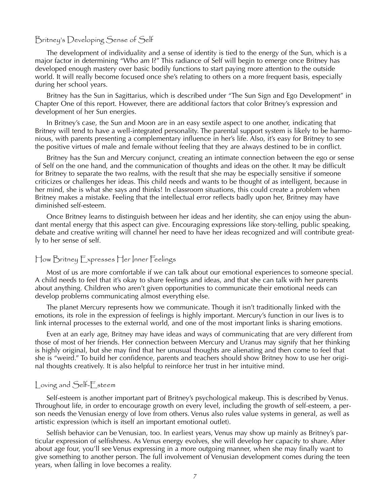#### Britney's Developing Sense of Self

The development of individuality and a sense of identity is tied to the energy of the Sun, which is a major factor in determining "Who am I?" This radiance of Self will begin to emerge once Britney has developed enough mastery over basic bodily functions to start paying more attention to the outside world. It will really become focused once she's relating to others on a more frequent basis, especially during her school years.

Britney has the Sun in Sagittarius, which is described under "The Sun Sign and Ego Development" in Chapter One of this report. However, there are additional factors that color Britney's expression and development of her Sun energies.

In Britney's case, the Sun and Moon are in an easy sextile aspect to one another, indicating that Britney will tend to have a well-integrated personality. The parental support system is likely to be harmonious, with parents presenting a complementary influence in her's life. Also, it's easy for Britney to see the positive virtues of male and female without feeling that they are always destined to be in conflict.

Britney has the Sun and Mercury conjunct, creating an intimate connection between the ego or sense of Self on the one hand, and the communication of thoughts and ideas on the other. It may be difficult for Britney to separate the two realms, with the result that she may be especially sensitive if someone criticizes or challenges her ideas. This child needs and wants to be thought of as intelligent, because in her mind, she is what she says and thinks! In classroom situations, this could create a problem when Britney makes a mistake. Feeling that the intellectual error reflects badly upon her, Britney may have diminished self-esteem.

Once Britney learns to distinguish between her ideas and her identity, she can enjoy using the abundant mental energy that this aspect can give. Encouraging expressions like story-telling, public speaking, debate and creative writing will channel her need to have her ideas recognized and will contribute greatly to her sense of self.

#### How Britney Expresses Her Inner Feelings

Most of us are more comfortable if we can talk about our emotional experiences to someone special. A child needs to feel that it's okay to share feelings and ideas, and that she can talk with her parents about anything. Children who aren't given opportunities to communicate their emotional needs can develop problems communicating almost everything else.

The planet Mercury represents how we communicate. Though it isn't traditionally linked with the emotions, its role in the expression of feelings is highly important. Mercury's function in our lives is to link internal processes to the external world, and one of the most important links is sharing emotions.

Even at an early age, Britney may have ideas and ways of communicating that are very different from those of most of her friends. Her connection between Mercury and Uranus may signify that her thinking is highly original, but she may find that her unusual thoughts are alienating and then come to feel that she is "weird." To build her confidence, parents and teachers should show Britney how to use her original thoughts creatively. It is also helpful to reinforce her trust in her intuitive mind.

#### Loving and Self-Esteem

Self-esteem is another important part of Britney's psychological makeup. This is described by Venus. Throughout life, in order to encourage growth on every level, including the growth of self-esteem, a person needs the Venusian energy of love from others. Venus also rules value systems in general, as well as artistic expression (which is itself an important emotional outlet).

Selfish behavior can be Venusian, too. In earliest years, Venus may show up mainly as Britney's particular expression of selfishness. As Venus energy evolves, she will develop her capacity to share. After about age four, you'll see Venus expressing in a more outgoing manner, when she may finally want to give something to another person. The full involvement of Venusian development comes during the teen years, when falling in love becomes a reality.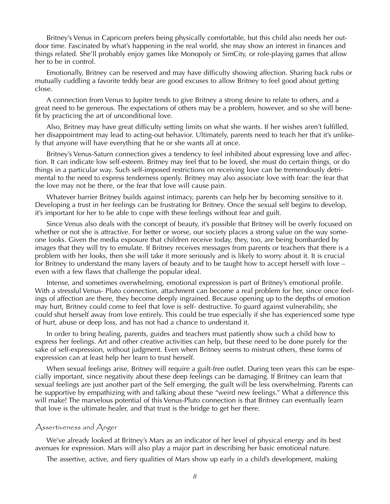Britney's Venus in Capricorn prefers being physically comfortable, but this child also needs her outdoor time. Fascinated by what's happening in the real world, she may show an interest in finances and things related. She'll probably enjoy games like Monopoly or SimCity, or role-playing games that allow her to be in control.

Emotionally, Britney can be reserved and may have difficulty showing affection. Sharing back rubs or mutually cuddling a favorite teddy bear are good excuses to allow Britney to feel good about getting close.

A connection from Venus to Jupiter tends to give Britney a strong desire to relate to others, and a great need to be generous. The expectations of others may be a problem, however, and so she will benefit by practicing the art of unconditional love.

Also, Britney may have great difficulty setting limits on what she wants. If her wishes aren't fulfilled, her disappointment may lead to acting-out behavior. Ultimately, parents need to teach her that it's unlikely that anyone will have everything that he or she wants all at once.

Britney's Venus-Saturn connection gives a tendency to feel inhibited about expressing love and affection. It can indicate low self-esteem. Britney may feel that to be loved, she must do certain things, or do things in a particular way. Such self-imposed restrictions on receiving love can be tremendously detrimental to the need to express tenderness openly. Britney may also associate love with fear: the fear that the love may not be there, or the fear that love will cause pain.

Whatever barrier Britney builds against intimacy, parents can help her by becoming sensitive to it. Developing a trust in her feelings can be frustrating for Britney. Once the sexual self begins to develop, it's important for her to be able to cope with these feelings without fear and guilt.

Since Venus also deals with the concept of beauty, it's possible that Britney will be overly focused on whether or not she is attractive. For better or worse, our society places a strong value on the way someone looks. Given the media exposure that children receive today, they, too, are being bombarded by images that they will try to emulate. If Britney receives messages from parents or teachers that there is a problem with her looks, then she will take it more seriously and is likely to worry about it. It is crucial for Britney to understand the many layers of beauty and to be taught how to accept herself with love – even with a few flaws that challenge the popular ideal.

Intense, and sometimes overwhelming, emotional expression is part of Britney's emotional profile. With a stressful Venus- Pluto connection, attachment can become a real problem for her, since once feelings of affection are there, they become deeply ingrained. Because opening up to the depths of emotion may hurt, Britney could come to feel that love is self- destructive. To guard against vulnerability, she could shut herself away from love entirely. This could be true especially if she has experienced some type of hurt, abuse or deep loss, and has not had a chance to understand it.

In order to bring healing, parents, guides and teachers must patiently show such a child how to express her feelings. Art and other creative activities can help, but these need to be done purely for the sake of self-expression, without judgment. Even when Britney seems to mistrust others, these forms of expression can at least help her learn to trust herself.

When sexual feelings arise, Britney will require a guilt-free outlet. During teen years this can be especially important, since negativity about these deep feelings can be damaging. If Britney can learn that sexual feelings are just another part of the Self emerging, the guilt will be less overwhelming. Parents can be supportive by empathizing with and talking about these "weird new feelings." What a difference this will make! The marvelous potential of this Venus-Pluto connection is that Britney can eventually learn that love is the ultimate healer, and that trust is the bridge to get her there.

#### Assertiveness and Anger

We've already looked at Britney's Mars as an indicator of her level of physical energy and its best avenues for expression. Mars will also play a major part in describing her basic emotional nature.

The assertive, active, and fiery qualities of Mars show up early in a child's development, making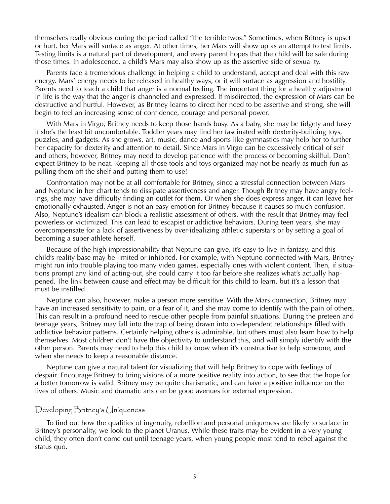themselves really obvious during the period called "the terrible twos." Sometimes, when Britney is upset or hurt, her Mars will surface as anger. At other times, her Mars will show up as an attempt to test limits. Testing limits is a natural part of development, and every parent hopes that the child will be safe during those times. In adolescence, a child's Mars may also show up as the assertive side of sexuality.

Parents face a tremendous challenge in helping a child to understand, accept and deal with this raw energy. Mars' energy needs to be released in healthy ways, or it will surface as aggression and hostility. Parents need to teach a child that anger is a normal feeling. The important thing for a healthy adjustment in life is the way that the anger is channeled and expressed. If misdirected, the expression of Mars can be destructive and hurtful. However, as Britney learns to direct her need to be assertive and strong, she will begin to feel an increasing sense of confidence, courage and personal power.

With Mars in Virgo, Britney needs to keep those hands busy. As a baby, she may be fidgety and fussy if she's the least bit uncomfortable. Toddler years may find her fascinated with dexterity-building toys, puzzles, and gadgets. As she grows, art, music, dance and sports like gymnastics may help her to further her capacity for dexterity and attention to detail. Since Mars in Virgo can be excessively critical of self and others, however, Britney may need to develop patience with the process of becoming skillful. Don't expect Britney to be neat. Keeping all those tools and toys organized may not be nearly as much fun as pulling them off the shelf and putting them to use!

Confrontation may not be at all comfortable for Britney, since a stressful connection between Mars and Neptune in her chart tends to dissipate assertiveness and anger. Though Britney may have angry feelings, she may have difficulty finding an outlet for them. Or when she does express anger, it can leave her emotionally exhausted. Anger is not an easy emotion for Britney because it causes so much confusion. Also, Neptune's idealism can block a realistic assessment of others, with the result that Britney may feel powerless or victimized. This can lead to escapist or addictive behaviors. During teen years, she may overcompensate for a lack of assertiveness by over-idealizing athletic superstars or by setting a goal of becoming a super-athlete herself.

Because of the high impressionability that Neptune can give, it's easy to live in fantasy, and this child's reality base may be limited or inhibited. For example, with Neptune connected with Mars, Britney might run into trouble playing too many video games, especially ones with violent content. Then, if situations prompt any kind of acting-out, she could carry it too far before she realizes what's actually happened. The link between cause and effect may be difficult for this child to learn, but it's a lesson that must be instilled.

Neptune can also, however, make a person more sensitive. With the Mars connection, Britney may have an increased sensitivity to pain, or a fear of it, and she may come to identify with the pain of others. This can result in a profound need to rescue other people from painful situations. During the preteen and teenage years, Britney may fall into the trap of being drawn into co-dependent relationships filled with addictive behavior patterns. Certainly helping others is admirable, but others must also learn how to help themselves. Most children don't have the objectivity to understand this, and will simply identify with the other person. Parents may need to help this child to know when it's constructive to help someone, and when she needs to keep a reasonable distance.

Neptune can give a natural talent for visualizing that will help Britney to cope with feelings of despair. Encourage Britney to bring visions of a more positive reality into action, to see that the hope for a better tomorrow is valid. Britney may be quite charismatic, and can have a positive influence on the lives of others. Music and dramatic arts can be good avenues for external expression.

#### Developing Britney's (Iniqueness

To find out how the qualities of ingenuity, rebellion and personal uniqueness are likely to surface in Britney's personality, we look to the planet Uranus. While these traits may be evident in a very young child, they often don't come out until teenage years, when young people most tend to rebel against the status quo.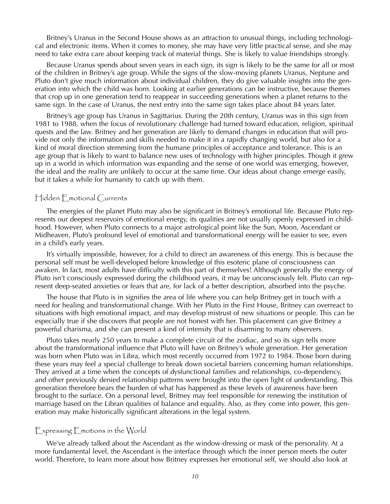Britney's Uranus in the Second House shows as an attraction to unusual things, including technological and electronic items. When it comes to money, she may have very little practical sense, and she may need to take extra care about keeping track of material things. She is likely to value friendships strongly.

Because Uranus spends about seven years in each sign, its sign is likely to be the same for all or most of the children in Britney's age group. While the signs of the slow-moving planets Uranus, Neptune and Pluto don't give much information about individual children, they do give valuable insights into the generation into which the child was born. Looking at earlier generations can be instructive, because themes that crop up in one generation tend to reappear in succeeding generations when a planet returns to the same sign. In the case of Uranus, the next entry into the same sign takes place about 84 years later.

Britney's age group has Uranus in Sagittarius. During the 20th century, Uranus was in this sign from 1981 to 1988, when the focus of revolutionary challenge had turned toward education, religion, spiritual quests and the law. Britney and her generation are likely to demand changes in education that will provide not only the information and skills needed to make it in a rapidly changing world, but also for a kind of moral direction stemming from the humane principles of acceptance and tolerance. This is an age group that is likely to want to balance new uses of technology with higher principles. Though it grew up in a world in which information was expanding and the sense of one world was emerging, however, the ideal and the reality are unlikely to occur at the same time. Our ideas about change emerge easily, but it takes a while for humanity to catch up with them.

#### Hidden Emotional Currents

The energies of the planet Pluto may also be significant in Britney's emotional life. Because Pluto represents our deepest reservoirs of emotional energy, its qualities are not usually openly expressed in childhood. However, when Pluto connects to a major astrological point like the Sun, Moon, Ascendant or Midheaven, Pluto's profound level of emotional and transformational energy will be easier to see, even in a child's early years.

It's virtually impossible, however, for a child to direct an awareness of this energy. This is because the personal self must be well-developed before knowledge of this esoteric plane of consciousness can awaken. In fact, most adults have difficulty with this part of themselves! Although generally the energy of Pluto isn't consciously expressed during the childhood years, it may be unconsciously felt. Pluto can represent deep-seated anxieties or fears that are, for lack of a better description, absorbed into the psyche.

The house that Pluto is in signifies the area of life where you can help Britney get in touch with a need for healing and transformational change. With her Pluto in the First House, Britney can overreact to situations with high emotional impact, and may develop mistrust of new situations or people. This can be especially true if she discovers that people are not honest with her. This placement can give Britney a powerful charisma, and she can present a kind of intensity that is disarming to many observers.

Pluto takes nearly 250 years to make a complete circuit of the zodiac, and so its sign tells more about the transformational influence that Pluto will have on Britney's whole generation. Her generation was born when Pluto was in Libra, which most recently occurred from 1972 to 1984. Those born during these years may feel a special challenge to break down societal barriers concerning human relationships. They arrived at a time when the concepts of dysfunctional families and relationships, co-dependency, and other previously denied relationship patterns were brought into the open light of understanding. This generation therefore bears the burden of what has happened as these levels of awareness have been brought to the surface. On a personal level, Britney may feel responsible for renewing the institution of marriage based on the Libran qualities of balance and equality. Also, as they come into power, this generation may make historically significant alterations in the legal system.

#### Expressing Emotions in the World

We've already talked about the Ascendant as the window-dressing or mask of the personality. At a more fundamental level, the Ascendant is the interface through which the inner person meets the outer world. Therefore, to learn more about how Britney expresses her emotional self, we should also look at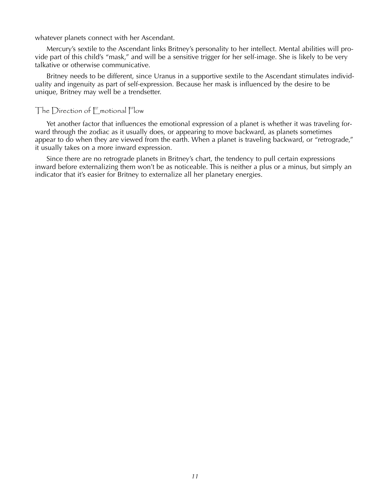whatever planets connect with her Ascendant.

Mercury's sextile to the Ascendant links Britney's personality to her intellect. Mental abilities will provide part of this child's "mask," and will be a sensitive trigger for her self-image. She is likely to be very talkative or otherwise communicative.

Britney needs to be different, since Uranus in a supportive sextile to the Ascendant stimulates individuality and ingenuity as part of self-expression. Because her mask is influenced by the desire to be unique, Britney may well be a trendsetter.

#### The Direction of Emotional Flow

Yet another factor that influences the emotional expression of a planet is whether it was traveling forward through the zodiac as it usually does, or appearing to move backward, as planets sometimes appear to do when they are viewed from the earth. When a planet is traveling backward, or "retrograde," it usually takes on a more inward expression.

Since there are no retrograde planets in Britney's chart, the tendency to pull certain expressions inward before externalizing them won't be as noticeable. This is neither a plus or a minus, but simply an indicator that it's easier for Britney to externalize all her planetary energies.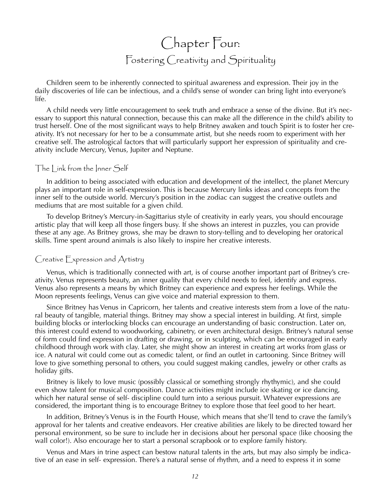### Chapter Four: Fostering Creativity and Spirituality

Children seem to be inherently connected to spiritual awareness and expression. Their joy in the daily discoveries of life can be infectious, and a child's sense of wonder can bring light into everyone's life.

A child needs very little encouragement to seek truth and embrace a sense of the divine. But it's necessary to support this natural connection, because this can make all the difference in the child's ability to trust herself. One of the most significant ways to help Britney awaken and touch Spirit is to foster her creativity. It's not necessary for her to be a consummate artist, but she needs room to experiment with her creative self. The astrological factors that will particularly support her expression of spirituality and creativity include Mercury, Venus, Jupiter and Neptune.

#### The Link from the Inner Self

In addition to being associated with education and development of the intellect, the planet Mercury plays an important role in self-expression. This is because Mercury links ideas and concepts from the inner self to the outside world. Mercury's position in the zodiac can suggest the creative outlets and mediums that are most suitable for a given child.

To develop Britney's Mercury-in-Sagittarius style of creativity in early years, you should encourage artistic play that will keep all those fingers busy. If she shows an interest in puzzles, you can provide these at any age. As Britney grows, she may be drawn to story-telling and to developing her oratorical skills. Time spent around animals is also likely to inspire her creative interests.

#### Creative Expression and Artistry

Venus, which is traditionally connected with art, is of course another important part of Britney's creativity. Venus represents beauty, an inner quality that every child needs to feel, identify and express. Venus also represents a means by which Britney can experience and express her feelings. While the Moon represents feelings, Venus can give voice and material expression to them.

Since Britney has Venus in Capricorn, her talents and creative interests stem from a love of the natural beauty of tangible, material things. Britney may show a special interest in building. At first, simple building blocks or interlocking blocks can encourage an understanding of basic construction. Later on, this interest could extend to woodworking, cabinetry, or even architectural design. Britney's natural sense of form could find expression in drafting or drawing, or in sculpting, which can be encouraged in early childhood through work with clay. Later, she might show an interest in creating art works from glass or ice. A natural wit could come out as comedic talent, or find an outlet in cartooning. Since Britney will love to give something personal to others, you could suggest making candles, jewelry or other crafts as holiday gifts.

Britney is likely to love music (possibly classical or something strongly rhythymic), and she could even show talent for musical composition. Dance activities might include ice skating or ice dancing, which her natural sense of self- discipline could turn into a serious pursuit. Whatever expressions are considered, the important thing is to encourage Britney to explore those that feel good to her heart.

In addition, Britney's Venus is in the Fourth House, which means that she'll tend to crave the family's approval for her talents and creative endeavors. Her creative abilities are likely to be directed toward her personal environment, so be sure to include her in decisions about her personal space (like choosing the wall color!). Also encourage her to start a personal scrapbook or to explore family history.

Venus and Mars in trine aspect can bestow natural talents in the arts, but may also simply be indicative of an ease in self- expression. There's a natural sense of rhythm, and a need to express it in some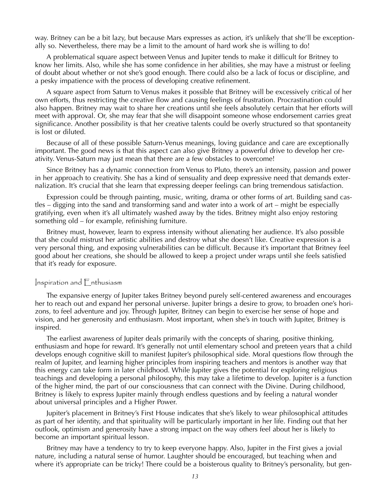way. Britney can be a bit lazy, but because Mars expresses as action, it's unlikely that she'll be exceptionally so. Nevertheless, there may be a limit to the amount of hard work she is willing to do!

A problematical square aspect between Venus and Jupiter tends to make it difficult for Britney to know her limits. Also, while she has some confidence in her abilities, she may have a mistrust or feeling of doubt about whether or not she's good enough. There could also be a lack of focus or discipline, and a pesky impatience with the process of developing creative refinement.

A square aspect from Saturn to Venus makes it possible that Britney will be excessively critical of her own efforts, thus restricting the creative flow and causing feelings of frustration. Procrastination could also happen. Britney may wait to share her creations until she feels absolutely certain that her efforts will meet with approval. Or, she may fear that she will disappoint someone whose endorsement carries great significance. Another possibility is that her creative talents could be overly structured so that spontaneity is lost or diluted.

Because of all of these possible Saturn-Venus meanings, loving guidance and care are exceptionally important. The good news is that this aspect can also give Britney a powerful drive to develop her creativity. Venus-Saturn may just mean that there are a few obstacles to overcome!

Since Britney has a dynamic connection from Venus to Pluto, there's an intensity, passion and power in her approach to creativity. She has a kind of sensuality and deep expressive need that demands externalization. It's crucial that she learn that expressing deeper feelings can bring tremendous satisfaction.

Expression could be through painting, music, writing, drama or other forms of art. Building sand castles – digging into the sand and transforming sand and water into a work of art – might be especially gratifying, even when it's all ultimately washed away by the tides. Britney might also enjoy restoring something old – for example, refinishing furniture.

Britney must, however, learn to express intensity without alienating her audience. It's also possible that she could mistrust her artistic abilities and destroy what she doesn't like. Creative expression is a very personal thing, and exposing vulnerabilities can be difficult. Because it's important that Britney feel good about her creations, she should be allowed to keep a project under wraps until she feels satisfied that it's ready for exposure.

#### Inspiration and Enthusiasm

The expansive energy of Jupiter takes Britney beyond purely self-centered awareness and encourages her to reach out and expand her personal universe. Jupiter brings a desire to grow, to broaden one's horizons, to feel adventure and joy. Through Jupiter, Britney can begin to exercise her sense of hope and vision, and her generosity and enthusiasm. Most important, when she's in touch with Jupiter, Britney is inspired.

The earliest awareness of Jupiter deals primarily with the concepts of sharing, positive thinking, enthusiasm and hope for reward. It's generally not until elementary school and preteen years that a child develops enough cognitive skill to manifest Jupiter's philosophical side. Moral questions flow through the realm of Jupiter, and learning higher principles from inspiring teachers and mentors is another way that this energy can take form in later childhood. While Jupiter gives the potential for exploring religious teachings and developing a personal philosophy, this may take a lifetime to develop. Jupiter is a function of the higher mind, the part of our consciousness that can connect with the Divine. During childhood, Britney is likely to express Jupiter mainly through endless questions and by feeling a natural wonder about universal principles and a Higher Power.

Jupiter's placement in Britney's First House indicates that she's likely to wear philosophical attitudes as part of her identity, and that spirituality will be particularly important in her life. Finding out that her outlook, optimism and generosity have a strong impact on the way others feel about her is likely to become an important spiritual lesson.

Britney may have a tendency to try to keep everyone happy. Also, Jupiter in the First gives a jovial nature, including a natural sense of humor. Laughter should be encouraged, but teaching when and where it's appropriate can be tricky! There could be a boisterous quality to Britney's personality, but gen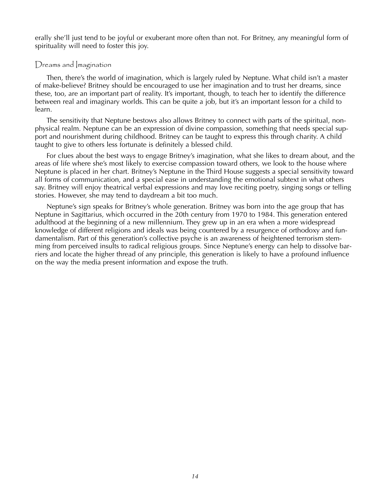erally she'll just tend to be joyful or exuberant more often than not. For Britney, any meaningful form of spirituality will need to foster this joy.

#### Dreams and *magination*

Then, there's the world of imagination, which is largely ruled by Neptune. What child isn't a master of make-believe? Britney should be encouraged to use her imagination and to trust her dreams, since these, too, are an important part of reality. It's important, though, to teach her to identify the difference between real and imaginary worlds. This can be quite a job, but it's an important lesson for a child to learn.

The sensitivity that Neptune bestows also allows Britney to connect with parts of the spiritual, nonphysical realm. Neptune can be an expression of divine compassion, something that needs special support and nourishment during childhood. Britney can be taught to express this through charity. A child taught to give to others less fortunate is definitely a blessed child.

For clues about the best ways to engage Britney's imagination, what she likes to dream about, and the areas of life where she's most likely to exercise compassion toward others, we look to the house where Neptune is placed in her chart. Britney's Neptune in the Third House suggests a special sensitivity toward all forms of communication, and a special ease in understanding the emotional subtext in what others say. Britney will enjoy theatrical verbal expressions and may love reciting poetry, singing songs or telling stories. However, she may tend to daydream a bit too much.

Neptune's sign speaks for Britney's whole generation. Britney was born into the age group that has Neptune in Sagittarius, which occurred in the 20th century from 1970 to 1984. This generation entered adulthood at the beginning of a new millennium. They grew up in an era when a more widespread knowledge of different religions and ideals was being countered by a resurgence of orthodoxy and fundamentalism. Part of this generation's collective psyche is an awareness of heightened terrorism stemming from perceived insults to radical religious groups. Since Neptune's energy can help to dissolve barriers and locate the higher thread of any principle, this generation is likely to have a profound influence on the way the media present information and expose the truth.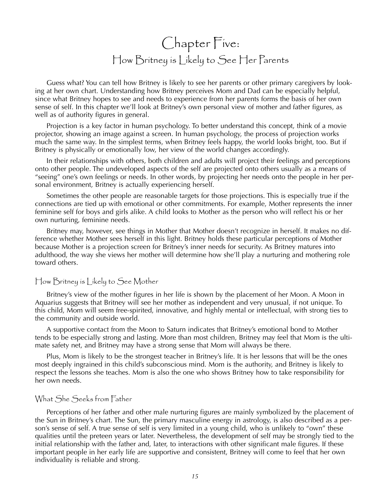### Chapter Five: How Britney is Likely to See Her Parents

Guess what? You can tell how Britney is likely to see her parents or other primary caregivers by looking at her own chart. Understanding how Britney perceives Mom and Dad can be especially helpful, since what Britney hopes to see and needs to experience from her parents forms the basis of her own sense of self. In this chapter we'll look at Britney's own personal view of mother and father figures, as well as of authority figures in general.

Projection is a key factor in human psychology. To better understand this concept, think of a movie projector, showing an image against a screen. In human psychology, the process of projection works much the same way. In the simplest terms, when Britney feels happy, the world looks bright, too. But if Britney is physically or emotionally low, her view of the world changes accordingly.

In their relationships with others, both children and adults will project their feelings and perceptions onto other people. The undeveloped aspects of the self are projected onto others usually as a means of "seeing" one's own feelings or needs. In other words, by projecting her needs onto the people in her personal environment, Britney is actually experiencing herself.

Sometimes the other people are reasonable targets for those projections. This is especially true if the connections are tied up with emotional or other commitments. For example, Mother represents the inner feminine self for boys and girls alike. A child looks to Mother as the person who will reflect his or her own nurturing, feminine needs.

Britney may, however, see things in Mother that Mother doesn't recognize in herself. It makes no difference whether Mother sees herself in this light. Britney holds these particular perceptions of Mother because Mother is a projection screen for Britney's inner needs for security. As Britney matures into adulthood, the way she views her mother will determine how she'll play a nurturing and mothering role toward others.

#### How Britney is Likely to See Mother

Britney's view of the mother figures in her life is shown by the placement of her Moon. A Moon in Aquarius suggests that Britney will see her mother as independent and very unusual, if not unique. To this child, Mom will seem free-spirited, innovative, and highly mental or intellectual, with strong ties to the community and outside world.

A supportive contact from the Moon to Saturn indicates that Britney's emotional bond to Mother tends to be especially strong and lasting. More than most children, Britney may feel that Mom is the ultimate safety net, and Britney may have a strong sense that Mom will always be there.

Plus, Mom is likely to be the strongest teacher in Britney's life. It is her lessons that will be the ones most deeply ingrained in this child's subconscious mind. Mom is the authority, and Britney is likely to respect the lessons she teaches. Mom is also the one who shows Britney how to take responsibility for her own needs.

#### What She Seeks from Father

Perceptions of her father and other male nurturing figures are mainly symbolized by the placement of the Sun in Britney's chart. The Sun, the primary masculine energy in astrology, is also described as a person's sense of self. A true sense of self is very limited in a young child, who is unlikely to "own" these qualities until the preteen years or later. Nevertheless, the development of self may be strongly tied to the initial relationship with the father and, later, to interactions with other significant male figures. If these important people in her early life are supportive and consistent, Britney will come to feel that her own individuality is reliable and strong.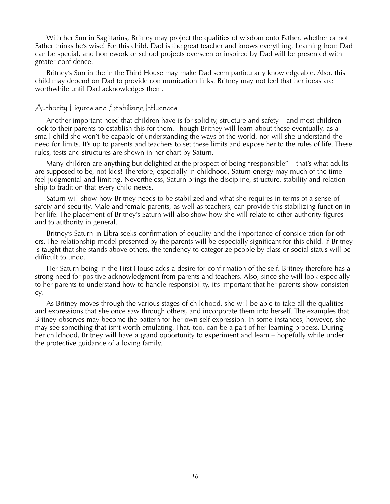With her Sun in Sagittarius, Britney may project the qualities of wisdom onto Father, whether or not Father thinks he's wise! For this child, Dad is the great teacher and knows everything. Learning from Dad can be special, and homework or school projects overseen or inspired by Dad will be presented with greater confidence.

Britney's Sun in the in the Third House may make Dad seem particularly knowledgeable. Also, this child may depend on Dad to provide communication links. Britney may not feel that her ideas are worthwhile until Dad acknowledges them.

#### Authority Figures and Stabilizing Influences

Another important need that children have is for solidity, structure and safety – and most children look to their parents to establish this for them. Though Britney will learn about these eventually, as a small child she won't be capable of understanding the ways of the world, nor will she understand the need for limits. It's up to parents and teachers to set these limits and expose her to the rules of life. These rules, tests and structures are shown in her chart by Saturn.

Many children are anything but delighted at the prospect of being "responsible" – that's what adults are supposed to be, not kids! Therefore, especially in childhood, Saturn energy may much of the time feel judgmental and limiting. Nevertheless, Saturn brings the discipline, structure, stability and relationship to tradition that every child needs.

Saturn will show how Britney needs to be stabilized and what she requires in terms of a sense of safety and security. Male and female parents, as well as teachers, can provide this stabilizing function in her life. The placement of Britney's Saturn will also show how she will relate to other authority figures and to authority in general.

Britney's Saturn in Libra seeks confirmation of equality and the importance of consideration for others. The relationship model presented by the parents will be especially significant for this child. If Britney is taught that she stands above others, the tendency to categorize people by class or social status will be difficult to undo.

Her Saturn being in the First House adds a desire for confirmation of the self. Britney therefore has a strong need for positive acknowledgment from parents and teachers. Also, since she will look especially to her parents to understand how to handle responsibility, it's important that her parents show consistency.

As Britney moves through the various stages of childhood, she will be able to take all the qualities and expressions that she once saw through others, and incorporate them into herself. The examples that Britney observes may become the pattern for her own self-expression. In some instances, however, she may see something that isn't worth emulating. That, too, can be a part of her learning process. During her childhood, Britney will have a grand opportunity to experiment and learn – hopefully while under the protective guidance of a loving family.